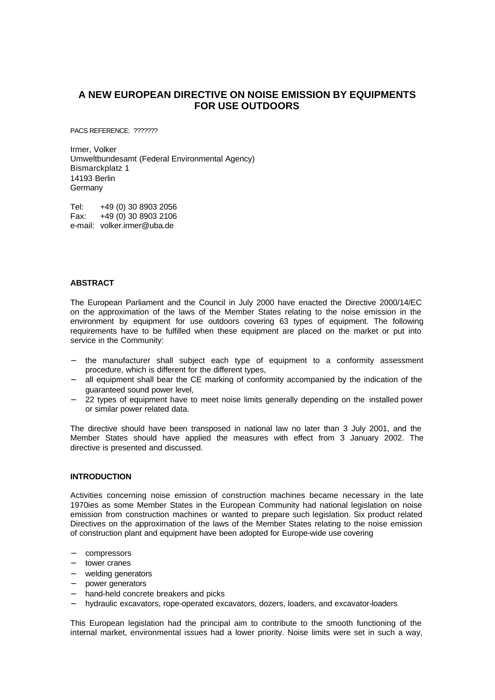# **A NEW EUROPEAN DIRECTIVE ON NOISE EMISSION BY EQUIPMENTS FOR USE OUTDOORS**

PACS REFERENCE: ???????

Irmer, Volker Umweltbundesamt (Federal Environmental Agency) Bismarckplatz 1 14193 Berlin **Germany** 

Tel: +49 (0) 30 8903 2056 Fax: +49 (0) 30 8903 2106 e-mail: volker.irmer@uba.de

# **ABSTRACT**

The European Parliament and the Council in July 2000 have enacted the Directive 2000/14/EC on the approximation of the laws of the Member States relating to the noise emission in the environment by equipment for use outdoors covering 63 types of equipment. The following requirements have to be fulfilled when these equipment are placed on the market or put into service in the Community:

- the manufacturer shall subject each type of equipment to a conformity assessment procedure, which is different for the different types,
- all equipment shall bear the CE marking of conformity accompanied by the indication of the guaranteed sound power level,
- 22 types of equipment have to meet noise limits generally depending on the installed power or similar power related data.

The directive should have been transposed in national law no later than 3 July 2001, and the Member States should have applied the measures with effect from 3 January 2002. The directive is presented and discussed.

#### **INTRODUCTION**

Activities concerning noise emission of construction machines became necessary in the late 1970ies as some Member States in the European Community had national legislation on noise emission from construction machines or wanted to prepare such legislation. Six product related Directives on the approximation of the laws of the Member States relating to the noise emission of construction plant and equipment have been adopted for Europe-wide use covering

- − compressors
- − tower cranes
- welding generators
- − power generators
- hand-held concrete breakers and picks
- − hydraulic excavators, rope-operated excavators, dozers, loaders, and excavator-loaders

This European legislation had the principal aim to contribute to the smooth functioning of the internal market, environmental issues had a lower priority. Noise limits were set in such a way,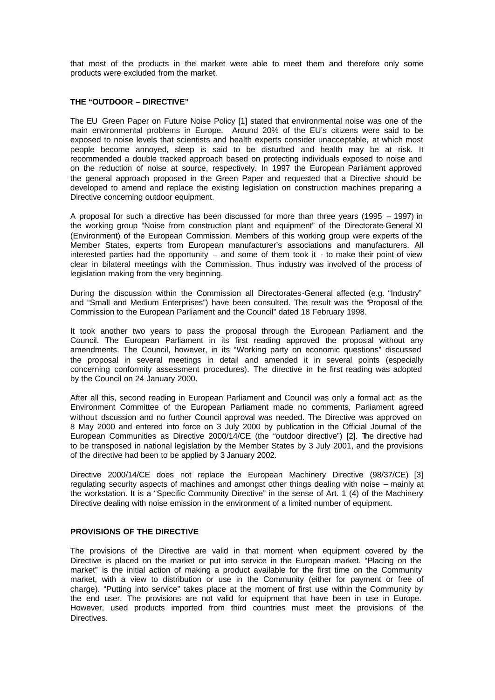that most of the products in the market were able to meet them and therefore only some products were excluded from the market.

### **THE "OUTDOOR – DIRECTIVE"**

The EU Green Paper on Future Noise Policy [1] stated that environmental noise was one of the main environmental problems in Europe. Around 20% of the EU's citizens were said to be exposed to noise levels that scientists and health experts consider unacceptable, at which most people become annoyed, sleep is said to be disturbed and health may be at risk. It recommended a double tracked approach based on protecting individuals exposed to noise and on the reduction of noise at source, respectively. In 1997 the European Parliament approved the general approach proposed in the Green Paper and requested that a Directive should be developed to amend and replace the existing legislation on construction machines preparing a Directive concerning outdoor equipment.

A proposal for such a directive has been discussed for more than three years (1995 – 1997) in the working group "Noise from construction plant and equipment" of the Directorate-General XI (Environment) of the European Commission. Members of this working group were experts of the Member States, experts from European manufacturer's associations and manufacturers. All interested parties had the opportunity – and some of them took it - to make their point of view clear in bilateral meetings with the Commission. Thus industry was involved of the process of legislation making from the very beginning.

During the discussion within the Commission all Directorates-General affected (e.g. "Industry" and "Small and Medium Enterprises") have been consulted. The result was the "Proposal of the Commission to the European Parliament and the Council" dated 18 February 1998.

It took another two years to pass the proposal through the European Parliament and the Council. The European Parliament in its first reading approved the proposal without any amendments. The Council, however, in its "Working party on economic questions" discussed the proposal in several meetings in detail and amended it in several points (especially concerning conformity assessment procedures). The directive in the first reading was adopted by the Council on 24 January 2000.

After all this, second reading in European Parliament and Council was only a formal act: as the Environment Committee of the European Parliament made no comments, Parliament agreed without dscussion and no further Council approval was needed. The Directive was approved on 8 May 2000 and entered into force on 3 July 2000 by publication in the Official Journal of the European Communities as Directive 2000/14/CE (the "outdoor directive") [2]. The directive had to be transposed in national legislation by the Member States by 3 July 2001, and the provisions of the directive had been to be applied by 3 January 2002.

Directive 2000/14/CE does not replace the European Machinery Directive (98/37/CE) [3] regulating security aspects of machines and amongst other things dealing with noise – mainly at the workstation. It is a "Specific Community Directive" in the sense of Art. 1 (4) of the Machinery Directive dealing with noise emission in the environment of a limited number of equipment.

# **PROVISIONS OF THE DIRECTIVE**

The provisions of the Directive are valid in that moment when equipment covered by the Directive is placed on the market or put into service in the European market. "Placing on the market" is the initial action of making a product available for the first time on the Community market, with a view to distribution or use in the Community (either for payment or free of charge). "Putting into service" takes place at the moment of first use within the Community by the end user. The provisions are not valid for equipment that have been in use in Europe. However, used products imported from third countries must meet the provisions of the Directives.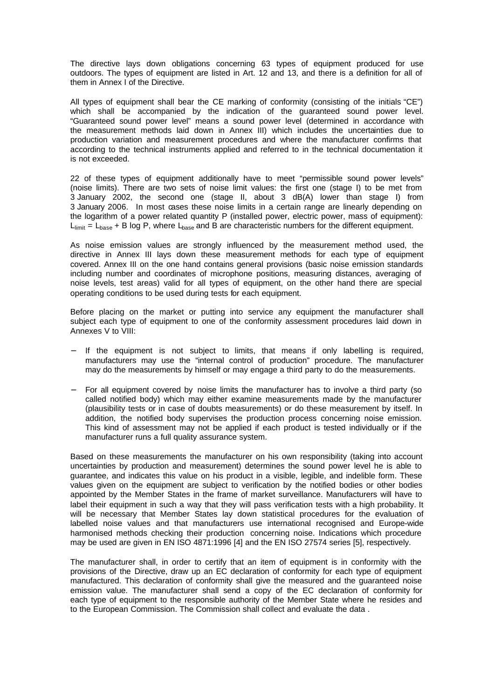The directive lays down obligations concerning 63 types of equipment produced for use outdoors. The types of equipment are listed in Art. 12 and 13, and there is a definition for all of them in Annex I of the Directive.

All types of equipment shall bear the CE marking of conformity (consisting of the initials "CE") which shall be accompanied by the indication of the guaranteed sound power level. "Guaranteed sound power level" means a sound power level (determined in accordance with the measurement methods laid down in Annex III) which includes the uncertainties due to production variation and measurement procedures and where the manufacturer confirms that according to the technical instruments applied and referred to in the technical documentation it is not exceeded.

22 of these types of equipment additionally have to meet "permissible sound power levels" (noise limits). There are two sets of noise limit values: the first one (stage I) to be met from 3 January 2002, the second one (stage II, about 3 dB(A) lower than stage I) from 3 January 2006. In most cases these noise limits in a certain range are linearly depending on the logarithm of a power related quantity P (installed power, electric power, mass of equipment):  $L<sub>limit</sub> = L<sub>base</sub> + B$  log P, where  $L<sub>base</sub>$  and B are characteristic numbers for the different equipment.

As noise emission values are strongly influenced by the measurement method used, the directive in Annex III lays down these measurement methods for each type of equipment covered. Annex III on the one hand contains general provisions (basic noise emission standards including number and coordinates of microphone positions, measuring distances, averaging of noise levels, test areas) valid for all types of equipment, on the other hand there are special operating conditions to be used during tests for each equipment.

Before placing on the market or putting into service any equipment the manufacturer shall subject each type of equipment to one of the conformity assessment procedures laid down in Annexes V to VIII:

- If the equipment is not subject to limits, that means if only labelling is required, manufacturers may use the "internal control of production" procedure. The manufacturer may do the measurements by himself or may engage a third party to do the measurements.
- For all equipment covered by noise limits the manufacturer has to involve a third party (so called notified body) which may either examine measurements made by the manufacturer (plausibility tests or in case of doubts measurements) or do these measurement by itself. In addition, the notified body supervises the production process concerning noise emission. This kind of assessment may not be applied if each product is tested individually or if the manufacturer runs a full quality assurance system.

Based on these measurements the manufacturer on his own responsibility (taking into account uncertainties by production and measurement) determines the sound power level he is able to guarantee, and indicates this value on his product in a visible, legible, and indelible form. These values given on the equipment are subject to verification by the notified bodies or other bodies appointed by the Member States in the frame of market surveillance. Manufacturers will have to label their equipment in such a way that they will pass verification tests with a high probability. It will be necessary that Member States lay down statistical procedures for the evaluation of labelled noise values and that manufacturers use international recognised and Europe-wide harmonised methods checking their production concerning noise. Indications which procedure may be used are given in EN ISO 4871:1996 [4] and the EN ISO 27574 series [5], respectively.

The manufacturer shall, in order to certify that an item of equipment is in conformity with the provisions of the Directive, draw up an EC declaration of conformity for each type of equipment manufactured. This declaration of conformity shall give the measured and the guaranteed noise emission value. The manufacturer shall send a copy of the EC declaration of conformity for each type of equipment to the responsible authority of the Member State where he resides and to the European Commission. The Commission shall collect and evaluate the data .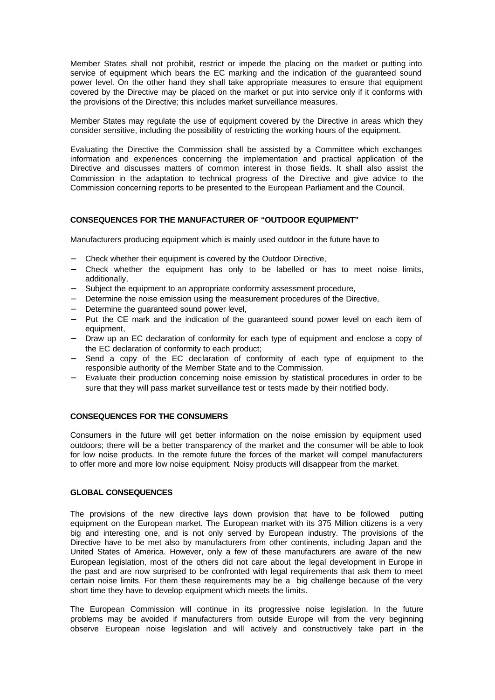Member States shall not prohibit, restrict or impede the placing on the market or putting into service of equipment which bears the EC marking and the indication of the guaranteed sound power level. On the other hand they shall take appropriate measures to ensure that equipment covered by the Directive may be placed on the market or put into service only if it conforms with the provisions of the Directive; this includes market surveillance measures.

Member States may regulate the use of equipment covered by the Directive in areas which they consider sensitive, including the possibility of restricting the working hours of the equipment.

Evaluating the Directive the Commission shall be assisted by a Committee which exchanges information and experiences concerning the implementation and practical application of the Directive and discusses matters of common interest in those fields. It shall also assist the Commission in the adaptation to technical progress of the Directive and give advice to the Commission concerning reports to be presented to the European Parliament and the Council.

# **CONSEQUENCES FOR THE MANUFACTURER OF "OUTDOOR EQUIPMENT"**

Manufacturers producing equipment which is mainly used outdoor in the future have to

- − Check whether their equipment is covered by the Outdoor Directive,
- − Check whether the equipment has only to be labelled or has to meet noise limits, additionally,
- Subject the equipment to an appropriate conformity assessment procedure,
- − Determine the noise emission using the measurement procedures of the Directive,
- − Determine the guaranteed sound power level,
- − Put the CE mark and the indication of the guaranteed sound power level on each item of equipment,
- − Draw up an EC declaration of conformity for each type of equipment and enclose a copy of the EC declaration of conformity to each product;
- − Send a copy of the EC declaration of conformity of each type of equipment to the responsible authority of the Member State and to the Commission.
- Evaluate their production concerning noise emission by statistical procedures in order to be sure that they will pass market surveillance test or tests made by their notified body.

### **CONSEQUENCES FOR THE CONSUMERS**

Consumers in the future will get better information on the noise emission by equipment used outdoors; there will be a better transparency of the market and the consumer will be able to look for low noise products. In the remote future the forces of the market will compel manufacturers to offer more and more low noise equipment. Noisy products will disappear from the market.

#### **GLOBAL CONSEQUENCES**

The provisions of the new directive lays down provision that have to be followed putting equipment on the European market. The European market with its 375 Million citizens is a very big and interesting one, and is not only served by European industry. The provisions of the Directive have to be met also by manufacturers from other continents, including Japan and the United States of America. However, only a few of these manufacturers are aware of the new European legislation, most of the others did not care about the legal development in Europe in the past and are now surprised to be confronted with legal requirements that ask them to meet certain noise limits. For them these requirements may be a big challenge because of the very short time they have to develop equipment which meets the limits.

The European Commission will continue in its progressive noise legislation. In the future problems may be avoided if manufacturers from outside Europe will from the very beginning observe European noise legislation and will actively and constructively take part in the